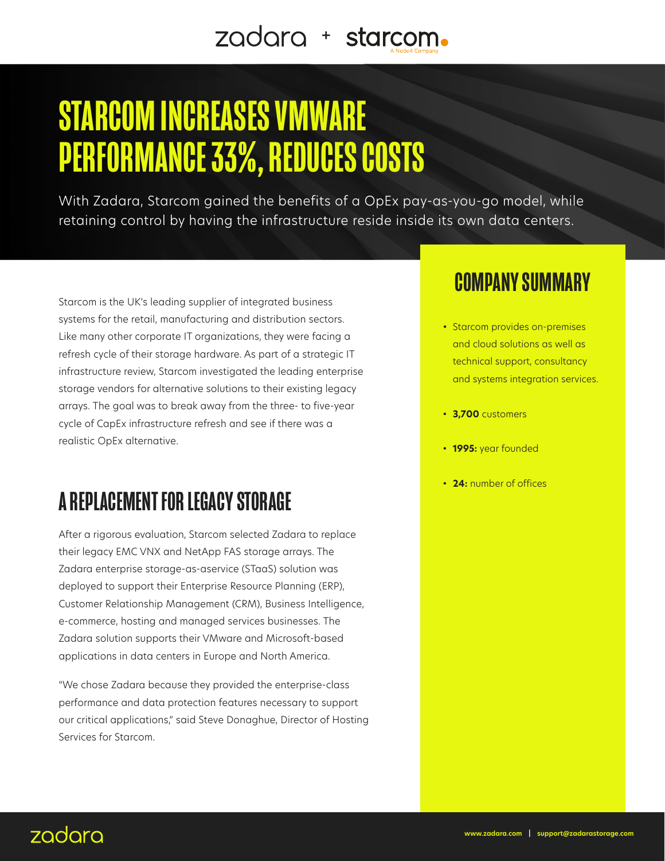## zadara + starcom.

# STARCOM INCREASES VMWARE PERFORMANCE 33%, REDUCES COSTS

With Zadara, Starcom gained the benefits of a OpEx pay-as-you-go model, while retaining control by having the infrastructure reside inside its own data centers.

Starcom is the UK's leading supplier of integrated business systems for the retail, manufacturing and distribution sectors. Like many other corporate IT organizations, they were facing a refresh cycle of their storage hardware. As part of a strategic IT infrastructure review, Starcom investigated the leading enterprise storage vendors for alternative solutions to their existing legacy arrays. The goal was to break away from the three- to five-year cycle of CapEx infrastructure refresh and see if there was a realistic OpEx alternative.

## A REPLACEMENT FOR LEGACY STORAGE

After a rigorous evaluation, Starcom selected Zadara to replace their legacy EMC VNX and NetApp FAS storage arrays. The Zadara enterprise storage-as-aservice (STaaS) solution was deployed to support their Enterprise Resource Planning (ERP), Customer Relationship Management (CRM), Business Intelligence, e-commerce, hosting and managed services businesses. The Zadara solution supports their VMware and Microsoft-based applications in data centers in Europe and North America.

"We chose Zadara because they provided the enterprise-class performance and data protection features necessary to support our critical applications," said Steve Donaghue, Director of Hosting Services for Starcom.

#### COMPANY SUMMARY

- Starcom provides on-premises and cloud solutions as well as technical support, consultancy and systems integration services.
- **• 3,700** customers
- **• 1995:** year founded
- **• 24:** number of offices

#### zadara